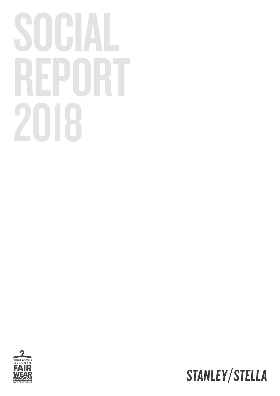# SOCIAL REPORT 2018



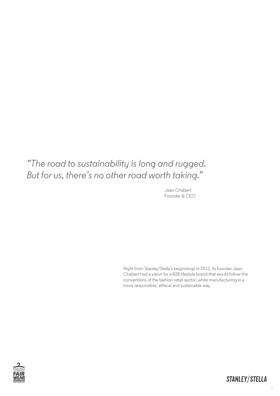#### *"The road to sustainability is long and rugged. But for us, there's no other road worth taking."*

Jean Chabert Founder & CEO

Right from Stanley/Stella's beginnings in 2012, its founder Jean Chabert had a vision for a B2B lifestyle brand that would follow the conventions of the fashion retail sector, while manufacturing in a more responsible, ethical and sustainable way.

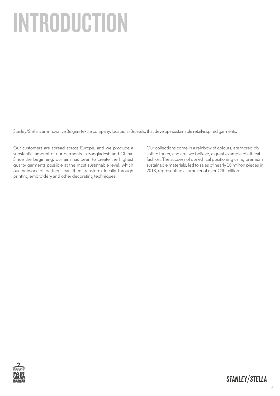# INTRODUCTION

Stanley/Stella is an innovative Belgian textile company, located in Brussels, that develops sustainable retail-inspired garments.

Our customers are spread across Europe, and we produce a substantial amount of our garments in Bangladesh and China. Since the beginning, our aim has been to create the highest quality garments possible at the most sustainable level, which our network of partners can then transform locally through printing,embroidery and other decorating techniques.

Our collections come in a rainbow of colours, are incredibly soft to touch, and are, we believe, a great example of ethical fashion. The success of our ethical positioning using premium sustainable materials, led to sales of nearly 10 million pieces in 2018, representing a turnover of over €40 million.

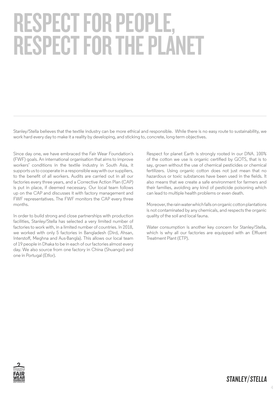# RESPECT FOR PEOPLE, RESPECT FOR THE PLANET

Stanley/Stella believes that the textile industry can be more ethical and responsible. While there is no easy route to sustainability, we work hard every day to make it a reality by developing, and sticking to, concrete, long-term objectives.

Since day one, we have embraced the Fair Wear Foundation´s (FWF) goals. An international organisation that aims to improve workers' conditions in the textile industry in South Asia, it supports us to cooperate in a responsible way with our suppliers, to the benefit of all workers. Audits are carried out in all our factories every three years, and a Corrective Action Plan (CAP) is put in place, if deemed necessary. Our local team follows up on the CAP and discusses it with factory management and FWF representatives. The FWF monitors the CAP every three months.

In order to build strong and close partnerships with production facilities, Stanley/Stella has selected a very limited number of factories to work with, in a limited number of countries. In 2018, we worked with only 5 factories in Bangladesh (Dird, Ahsan, Interstoff, Meghna and Aus-Bangla). This allows our local team of 19 people in Dhaka to be in each of our factories almost every day. We also source from one factory in China (Shuangxi) and one in Portugal (Etfor).

Respect for planet Earth is strongly rooted in our DNA. 100% of the cotton we use is organic certified by GOTS, that is to say, grown without the use of chemical pesticides or chemical fertilizers. Using organic cotton does not just mean that no hazardous or toxic substances have been used in the fields. It also means that we create a safe environment for farmers and their families, avoiding any kind of pesticide poisoning which can lead to multiple health problems or even death.

Moreover, the rain water which falls on organic cotton plantations is not contaminated by any chemicals, and respects the organic quality of the soil and local fauna.

Water consumption is another key concern for Stanley/Stella, which is why all our factories are equipped with an Effluent Treatment Plant (ETP).

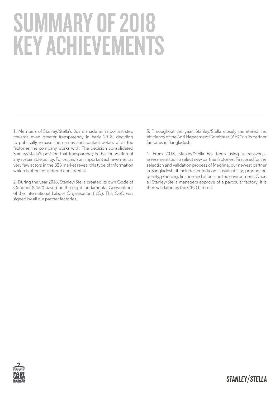# SUMMARY OF 2018 KEY ACHIEVEMENTS

1. Members of Stanley/Stella's Board made an important step towards even greater transparency in early 2018, deciding to publically release the names and contact details of all the factories the company works with. The decision consolidated Stanley/Stella's position that transparency is the foundation of any sustainable policy. For us, this is an important achievement as very few actors in the B2B market reveal this type of information which is often considered confidential.

2. During the year 2018, Stanley/Stella created its own Code of Conduct (CoC) based on the eight fundamental Conventions of the International Labour Organisation (ILO). This CoC was signed by all our partner factories.

3. Throughout the year, Stanley/Stella closely monitored the efficiency of the Anti-Harassment Comittees (AHC) in its partner factories in Bangladesh.

4. From 2018, Stanley/Stella has been using a transversal assessment tool to select new partner factories. First used for the selection and validation process of Meghna, our newest partner in Bangladesh, it includes criteria on sustainability, production quality, planning, finance and effects on the environment. Once all Stanley/Stella managers approve of a particular factory, it is then validated by the CEO himself.

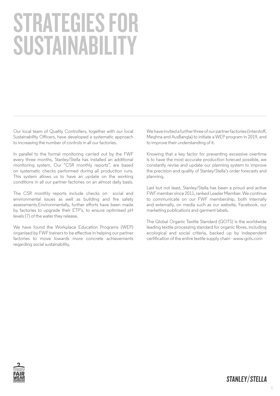# STRATEGIES FOR SUSTAINABILITY

Our local team of Quality Controllers, together with our local Sustainability Officers, have developed a systematic approach to increasing the number of controls in all our factories.

In parallel to the formal monitoring carried out by the FWF every three months, Stanley/Stella has installed an additional monitoring system. Our "CSR monthly reports", are based on systematic checks performed during all production runs. This system allows us to have an update on the working conditions in all our partner factories on an almost daily basis.

The CSR monthly reports include checks on social and environmental issues as well as building and fire safety assessments.Environmentally, further efforts have been made by factories to upgrade their ETP's, to ensure optimised pH levels (7) of the water they release.

We have found the Workplace Education Programs (WEP) organised by FWF trainers to be effective in helping our partner factories to move towards more concrete achievements regarding social sustainability.

We have invited a further three of our partner factories (Interstoff, Meghna and AusBangla) to initiate a WEP program in 2019, and to improve their understanding of it.

Knowing that a key factor for preventing excessive overtime is to have the most accurate production forecast possible, we constantly revise and update our planning system to improve the precision and quality of Stanley/Stella's order forecasts and planning.

Last but not least, Stanley/Stella has been a proud and active FWF member since 2011, ranked Leader Member. We continue to communicate on our FWF membership, both internally and externally, on media such as our website, Facebook, our marketing publications and garment labels.

The Global Organic Textile Standard (GOTS) is the worldwide leading textile processing standard for organic fibres, including ecological and social criteria, backed up by independent certification of the entire textile supply chain - www.gots.com

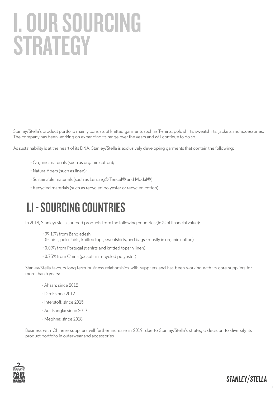# I. OUR SOURCING **STRATEGY**

Stanley/Stella's product portfolio mainly consists of knitted garments such as T-shirts, polo shirts, sweatshirts, jackets and accessories. The company has been working on expanding its range over the years and will continue to do so.

As sustainability is at the heart of its DNA, Stanley/Stella is exclusively developing garments that contain the following:

- Organic materials (such as organic cotton);
- Natural fibers (such as linen):
- Sustainable materials (such as Lenzing® Tencel® and Modal®)
- Recycled materials (such as recycled polyester or recycled cotton)

#### I.I - SOURCING COUNTRIES

In 2018, Stanley/Stella sourced products from the following countries (in % of financial value):

- 99.17% from Bangladesh (t-shirts, polo shirts, knitted tops, sweatshirts, and bags - mostly in organic cotton)
- 0.09% from Portugal (t-shirts and knitted tops in linen)
- 0.73% from China (jackets in recycled polyester)

Stanley/Stella favours long-term business relationships with suppliers and has been working with its core suppliers for more than 5 years:

- Ahsan: since 2012
- $-$  Dird $\cdot$  since 2012
- Interstoff: since 2015
- Aus Bangla: since 2017
- Meghna: since 2018

Business with Chinese suppliers will further increase in 2019, due to Stanley/Stella's strategic decision to diversify its product portfolio in outerwear and accessories



7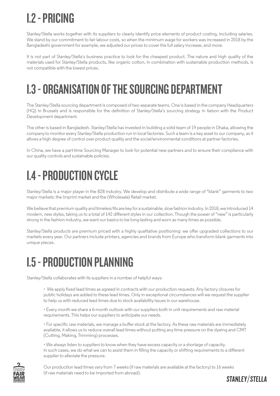#### I.2 - PRICING

Stanley/Stella works together with its suppliers to clearly identify price elements of product costing, including salaries. We stand by our commitment to fair labour costs, so when the minimum wage for workers was increased in 2018 by the Bangladeshi government for example, we adjusted our prices to cover the full salary increase, and more.

It is not part of Stanley/Stella´s business practice to look for the cheapest product. The nature and high quality of the materials used for Stanley/Stella products, like organic cotton, in combination with sustainable production methods, is not compatible with the lowest prices.

#### I.3 - ORGANISATION OF THE SOURCING DEPARTMENT

The Stanley/Stella sourcing department is composed of two separate teams. One is based in the company Headquarters (HQ) in Brussels and is responsible for the definition of Stanley/Stella's sourcing strategy in liaison with the Product Development department.

The other is based in Bangladesh. Stanley/Stella has invested in building a solid team of 19 people in Dhaka, allowing the company to monitor every Stanley/Stella production run in local factories. Such a team is a key asset to our company, as it allows a high degree of control over product quality and the social/environmental conditions at partner factories.

In China, we have a part-time Sourcing Manager to look for potential new partners and to ensure their compliance with our quality controls and sustainable policies.

#### I.4 - PRODUCTION CYCLE

Stanley/Stella is a major player in the B2B industry. We develop and distribute a wide range of "blank" garments to two major markets: the Imprint market and the (Wholesale) Retail market.

We believe that premium quality and timeless fits are key for a sustainable, slow fashion industry. In 2018, we introduced 14 modern, new styles, taking us to a total of 142 different styles in our collection. Though the power of "new" is particularly strong in the fashion industry, we want our basics to be long-lasting and worn as many times as possible.

Stanley/Stella products are premium priced with a highly qualitative positioning: we offer upgraded collections to our markets every year. Our partners include printers, agencies and brands from Europe who transform blank garments into unique pieces.

#### I.5 - PRODUCTION PLANNING

Stanley/Stella collaborates with its suppliers in a number of helpful ways:

• We apply fixed lead times as agreed in contracts with our production requests. Any factory closures for public holidays are added to these lead times. Only in exceptional circumstances will we request the supplier to help us with reduced lead times due to stock availability issues in our warehouse.

• Every month we share a 6-month outlook with our suppliers both in unit requirements and raw material requirements. This helps our suppliers to anticipate our needs.

• For specific raw materials, we manage a buffer stock at the factory. As these raw materials are immediately available, it allows us to reduce overall lead times without putting any time pressure on the dyeing and CMT (Cutting, Making, Trimming) processes.

• We always listen to suppliers to know when they have excess capacity or a shortage of capacity. In such cases, we do what we can to assist them in filling the capacity or shifting requirements to a different supplier to alleviate the pressure.

Our production lead times vary from 7 weeks (if raw materials are available at the factory) to 16 weeks (if raw materials need to be imported from abroad).

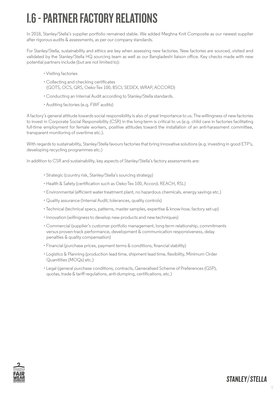#### I.6 - PARTNER FACTORY RELATIONS

In 2018, Stanley/Stella's supplier portfolio remained stable. We added Meghna Knit Composite as our newest supplier after rigorous audits & assessments, as per our company standards.

For Stanley/Stella, sustainability and ethics are key when assessing new factories. New factories are sourced, visited and validated by the Stanley/Stella HQ sourcing team as well as our Bangladeshi liaison office. Key checks made with new potential partners include (but are not limited to):

- Visiting factories
- Collecting and checking certificates (GOTS, OCS, GRS, Oeko-Tex 100, BSCI, SEDEX, WRAP, ACCORD)
- Conducting an Internal Audit according to Stanley/Stella standards.
- Auditing factories (e.g. FWF audits)

A factory's general attitude towards social responsibility is also of great importance to us. The willingness of new factories to invest in Corporate Social Responsibility (CSR) in the long-term is critical to us (e.g. child care in factories facilitating full-time employment for female workers, positive attitudes toward the installation of an anti-harassment committee, transparent monitoring of overtime etc.).

With regards to sustainability, Stanley/Stella favours factories that bring innovative solutions (e.g. investing in good ETP's, developing recycling programmes etc.)

In addition to CSR and sustainability, key aspects of Stanley/Stella's factory assessments are:

- Strategic (country risk, Stanley/Stella's sourcing strategy)
- Health & Safety (certification such as Oeko-Tex 100, Accord, REACH, RSL)
- Environmental (efficient water treatment plant, no hazardous chemicals, energy savings etc.)
- Quality assurance (Internal Audit, tolerances, quality controls)
- Technical (technical specs, patterns, master samples, expertise & know-how, factory set-up)
- Innovation (willingness to develop new products and new techniques)
- Commercial (supplier's customer portfolio management, long-term relationship, commitments versus proven-track performance, development & communication responsiveness, delay penalties & quality compensation)
- Financial (purchase prices, payment terms & conditions, financial stability)
- Logistics & Planning (production lead time, shipment lead time, flexibility, Minimum Order Quanitities (MOQs) etc.)
- Legal (general purchase conditions, contracts, Generalised Scheme of Preferences (GSP), quotas, trade & tariff regulations, anti-dumping, certifications, etc.)

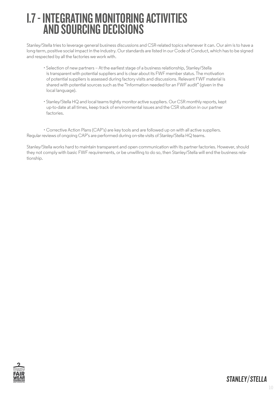#### I.7 - INTEGRATING MONITORING ACTIVITIES AND SOURCING DECISIONS

Stanley/Stella tries to leverage general business discussions and CSR-related topics whenever it can. Our aim is to have a long-term, positive social impact in the industry. Our standards are listed in our Code of Conduct, which has to be signed and respected by all the factories we work with.

- Selection of new partners At the earliest stage of a business relationship, Stanley/Stella is transparent with potential suppliers and is clear about its FWF member status. The motivation of potential suppliers is assessed during factory visits and discussions. Relevant FWF material is shared with potential sources such as the "Information needed for an FWF audit" (given in the local language).
- Stanley/Stella HQ and local teams tightly monitor active suppliers. Our CSR monthly reports, kept up-to-date at all times, keep track of environmental issues and the CSR situation in our partner factories.

• Corrective Action Plans (CAP's) are key tools and are followed up on with all active suppliers. Regular reviews of ongoing CAP's are performed during on-site visits of Stanley/Stella HQ teams.

Stanley/Stella works hard to maintain transparent and open communication with its partner factories. However, should they not comply with basic FWF requirements, or be unwilling to do so, then Stanley/Stella will end the business relationship.

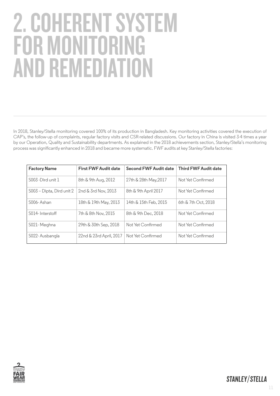### 2. COHERENT SYSTEM FOR MONITOR AND REMEDIATION

In 2018, Stanley/Stella monitoring covered 100% of its production in Bangladesh. Key monitoring activities covered the execution of CAP's, the follow-up of complaints, regular factory visits and CSR-related discussions. Our factory in China is visited 3-4 times a year by our Operation, Quality and Sustainability departments. As explained in the 2018 achievements section, Stanley/Stella's monitoring process was significantly enhanced in 2018 and became more systematic. FWF audits at key Stanley/Stella factories:

| <b>Factory Name</b>       | <b>First FWF Audit date</b> | <b>Second FWF Audit date</b> | <b>Third FWF Audit date</b> |
|---------------------------|-----------------------------|------------------------------|-----------------------------|
| S003 - Dird unit 1        | 8th & 9th Aug, 2012         | 27th & 28th May, 2017        | Not Yet Confirmed           |
| S003 - Dipta, Dird unit 2 | 2nd & 3rd Nov, 2013         | 8th & 9th April 2017         | Not Yet Confirmed           |
| S006-Ashan                | 18th & 19th May, 2013       | 14th & 15th Feb, 2015        | 6th $&$ 7th Oct. 2018       |
| S014-Interstoff           | 7th & 8th Nov. 2015         | 8th & 9th Dec. 2018          | Not Yet Confirmed           |
| S021-Meghna               | 29th & 30th Sep, 2018       | Not Yet Confirmed            | Not Yet Confirmed           |
| S022-Ausbangla            | 22nd & 23rd April, 2017     | Not Yet Confirmed            | Not Yet Confirmed           |

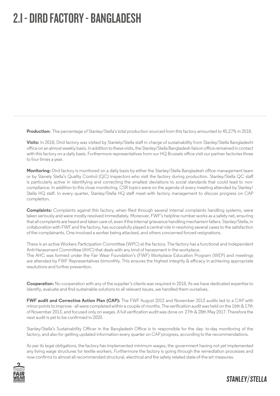#### 2.I - DIRD FACTORY - BANGLADESH

**Production:** The percentage of Stanley/Stella's total production sourced from this factory amounted to 45,27% in 2018.

**Visits:** In 2018, Dird factory was visited by Stanlely/Stella staff in charge of sustainability from Stanley/Stella Bangladeshi office on an almost weekly basis. In addition to these visits, the Stanley/Stella Bangladesh liaison office remained in contact with this factory on a daily basis. Furthermore representatives from our HQ Brussels office visit our partner factories three to four times a year.

**Monitoring:** Dird factory is monitored on a daily basis by either the Stanley/Stella Bangladesh office management team or by Stanely Stella's Quality Control (QC) inspectors who visit the factory during production. Stanley/Stella QC staff is particularly active in identifying and correcting the smallest deviations to social standards that could lead to noncompliance. In addition to this close monitoring, CSR topics were on the agenda of every meeting attended by Stanley/ Stella HQ staff. In every quarter, Stanley/Stella HQ staff meet with factory management to discuss progress on CAP completion.

**Complaints:** Complaints against this factory, when filed through several internal complaints handling systems, were taken seriously and were mostly resolved immediately. Moreover, FWF's helpline number works as a safety net, ensuring that all complaints are heard and taken care of, even if the internal grievance handling mechanism falters. Stanley/Stella, in collaboration with FWF and the factory, has successfully played a central role in resolving several cases to the satisfaction of the complainants. One involved a worker being attacked, and others concerned forced resignations.

There is an active Workers Participation Committee (WPC) at the factory. The factory has a functional and independent Anti-Harassment Committee (AHC) that deals with any kind of harassment in the workplace. The AHC was formed under the Fair Wear Foundation's (FWF) Workplace Education Program (WEP) and meetings are attended by FWF Representatives bimonthly. This ensures the highest integrity & efficacy in achieving appropriate resolutions and further prevention.

**Cooperation:** No cooperation with any of the supplier's clients was required in 2018. As we have dedicated expertise to identify, evaluate and find sustainable solutions to all relevant issues, we handled them ourselves.

**FWF audit and Corrective Action Plan (CAP):** The FWF August 2012 and November 2013 audits led to a CAP with minor points to improve - all were completed within a couple of months. The verification audit was held on the 16th & 17th of November 2013, and focused only on wages. A full verification audit was done on 27th & 28th May 2017. Therefore the next audit is yet to be confirmed in 2020.

Stanley/Stella's Sustainability Officer in the Bangladesh Office is to responsible for the day- to-day monitoring of the factory, and also for getting updated information every quarter on CAP progress, according to the recommendations.

As per its legal obligations, the factory has implemented minimum wages, the government having not yet implemented any living wage structures for textile workers. Furthermore the factory is going through the remediation processes and now confirms to almost all recommended structural, electrical and fire safety related state-of-the-art measures.

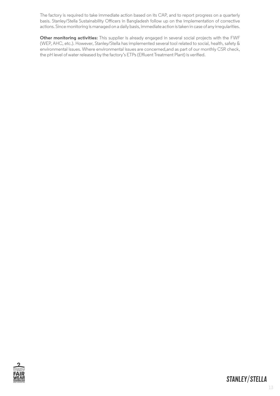The factory is required to take immediate action based on its CAP, and to report progress on a quarterly basis. Stanley/Stella Sustainability Officers in Bangladesh follow up on the implementation of corrective actions. Since monitoring is managed on a daily basis, immediate action is taken in case of any irregularities.

**Other monitoring activities:** This supplier is already engaged in several social projects with the FWF (WEP, AHC, etc.). However, Stanley/Stella has implemented several tool related to social, health, safety & environmental issues. Where environmental issues are concerned,and as part of our monthly CSR check, the pH level of water released by the factory's ETPs (Effluent Treatment Plant) is verified.

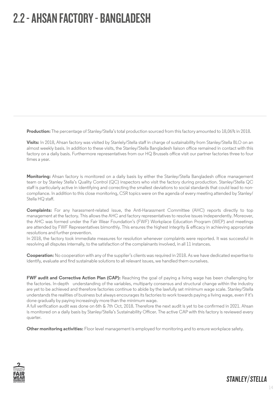#### 2.2 - AHSAN FACTORY - BANGLADESH

**Production:** The percentage of Stanley/Stella's total production sourced from this factory amounted to 18,06% in 2018.

**Visits:** In 2018, Ahsan factory was visited by Stanlely/Stella staff in charge of sustainability from Stanley/Stella BLO on an almost weekly basis. In addition to these visits, the Stanley/Stella Bangladesh liaison office remained in contact with this factory on a daily basis. Furthermore representatives from our HQ Brussels office visit our partner factories three to four times a year.

**Monitoring:** Ahsan factory is monitored on a daily basis by either the Stanley/Stella Bangladesh office management team or by Stanley Stella's Quality Control (QC) inspectors who visit the factory during production. Stanley/Stella QC staff is particularly active in identifying and correcting the smallest deviations to social standards that could lead to noncompliance. In addition to this close monitoring, CSR topics were on the agenda of every meeting attended by Stanley/ Stella HQ staff.

**Complaints:** For any harassment-related issue, the Anti-Harassment Committee (AHC) reports directly to top management at the factory. This allows the AHC and factory representatives to resolve issues independently. Moreover, the AHC was formed under the Fair Wear Foundation's (FWF) Workplace Education Program (WEP) and meetings are attended by FWF Representatives bimonthly. This ensures the highest integrity & efficacy in achieving appropriate resolutions and further prevention.

In 2018, the factory took immediate measures for resolution whenever complaints were reported. It was successful in resolving all disputes internally, to the satisfaction of the complainants involved, in all 11 instances.

**Cooperation:** No cooperation with any of the supplier's clients was required in 2018. As we have dedicated expertise to identify, evaluate and find sustainable solutions to all relevant issues, we handled them ourselves.

**FWF audit and Corrective Action Plan (CAP):** Reaching the goal of paying a living wage has been challenging for the factories. In-depth understanding of the variables, multiparty consensus and structural change within the industry are yet to be achieved and therefore factories continue to abide by the lawfully set minimum wage scale. Stanley/Stella understands the realities of business but always encourages its factories to work towards paying a living wage, even if it's done gradually by paying increasingly more than the minimum wage.

A full verification audit was done on 6th & 7th Oct, 2018. Therefore the next audit is yet to be confirmed in 2021. Ahsan is monitored on a daily basis by Stanley/Stella's Sustainability Officer. The active CAP with this factory is reviewed every quarter.

**Other monitoring activities:** Floor level management is employed for monitoring and to ensure workplace safety.



14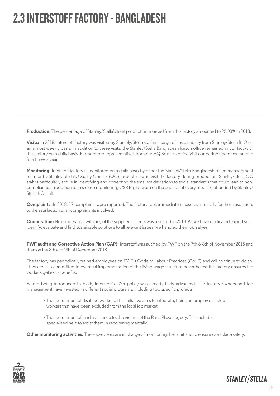#### 2.3 INTERSTOFF FACTORY - BANGLADESH

**Production:** The percentage of Stanley/Stella's total production sourced from this factory amounted to 22,08% in 2018.

**Visits:** In 2018, Interstoff factory was visited by Stanlely/Stella staff in charge of sustainability from Stanley/Stella BLO on an almost weekly basis. In addition to these visits, the Stanley/Stella Bangladesh liaison office remained in contact with this factory on a daily basis. Furthermore representatives from our HQ Brussels office visit our partner factories three to four times a year.

**Monitoring:** Interstoff factory is monitored on a daily basis by either the Stanley/Stella Bangladesh office management team or by Stanley Stella's Quality Control (QC) inspectors who visit the factory during production. Stanley/Stella QC staff is particularly active in identifying and correcting the smallest deviations to social standards that could lead to noncompliance. In addition to this close monitoring, CSR topics were on the agenda of every meeting attended by Stanley/ Stella HQ staff.

**Complaints:** In 2018, 17 complaints were reported. The factory took immediate measures internally for their resolution, to the satisfaction of all complainants involved.

**Cooperation:** No cooperation with any of the supplier's clients was required in 2018. As we have dedicated expertise to identify, evaluate and find sustainable solutions to all relevant issues, we handled them ourselves.

**FWF audit and Corrective Action Plan (CAP):** Interstoff was audited by FWF on the 7th & 8th of November 2015 and then on the 8th and 9th of December 2018.

The factory has periodically trained employees on FWF's Code of Labour Practices (CoLP) and will continue to do so. They are also committed to eventual implementation of the living wage structure nevertheless this factory ensures the workers get extra benefits.

Before being introduced to FWF, Interstoff's CSR policy was already fairly advanced. The factory owners and top management have invested in different social programs, including two specific projects:

- The recruitment of disabled workers. This initiative aims to integrate, train and employ disabled workers that have been excluded from the local job market.
- The recruitment of, and assistance to, the victims of the Rana Plaza tragedy. This includes specialised help to assist them in recovering mentally.

**Other monitoring activities:** The supervisors are in charge of monitoring their unit and to ensure workplace safety.

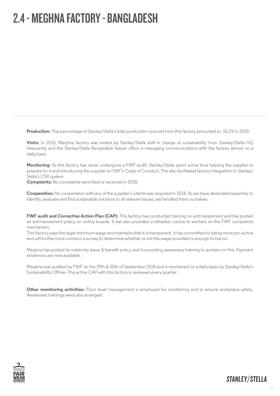#### 2.4 - MEGHNA FACTORY - BANGLADESH

**Production:** The percentage of Stanley/Stella's total production sourced from this factory amounted to 10,1% in 2018.

**Visits:** In 2018, Meghna factory was visited by Stanley/Stella staff in charge of sustainability from Stanley/Stella HQ frewuently and the Stanley/Stella Bangladesh liaison office is managing communications with the factory almost on a daily basis.

**Monitoring:** As this factory has never undergone a FWF audit, Stanley/Stella spent some time helping the supplier to prepare for it and introducing the supplier to FWF's Code of Conduct. This also facilitated factory integration to Stanley/ Stella's CSR system.

**Complaints:** No complaints were filed or received in 2018.

**Cooperation:** No cooperation with any of the supplier's clients was required in 2018. As we have dedicated expertise to identify, evaluate and find sustainable solutions to all relevant issues, we handled them ourselves.

**FWF audit and Corrective Action Plan (CAP):** This factory has conducted training on anti-harassment and has posted an anti-harassment policy on notice boards. It has also provided a refresher course to workers on the FWF complaints mechanism.

This factory pays the legal minimum wage and maintains that it is transparent. It has committed to being more pro-active and will furthermore conduct a survey to determine whether or not the wage provided is enough to live on.

Meghna has posted its maternity leave & benefit policy and is providing awareness training to workers on this. Payment evidences are now available.

Meghna was audited by FWF on the 29th & 30th of September 2018 and is monitored on a daily basis by Stanley/Stella's Sustainability Officer. The active CAP with this factory is reviewed every quarter.

**Other monitoring activities:** Floor level management is employed for monitoring and to ensure workplace safety. Awareness trainings were also arranged.

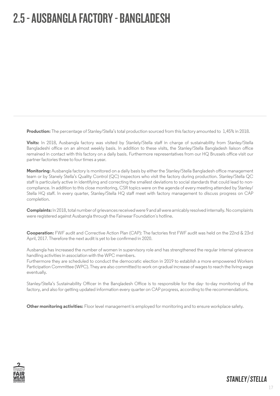#### 2.5 - AUSBANGLA FACTORY - BANGLADESH

**Production:** The percentage of Stanley/Stella's total production sourced from this factory amounted to 1,45% in 2018.

**Visits:** In 2018, Ausbangla factory was visited by Stanlely/Stella staff in charge of sustainability from Stanley/Stella Bangladeshi office on an almost weekly basis. In addition to these visits, the Stanley/Stella Bangladesh liaison office remained in contact with this factory on a daily basis. Furthermore representatives from our HQ Brussels office visit our partner factories three to four times a year.

**Monitoring:** Ausbangla factory is monitored on a daily basis by either the Stanley/Stella Bangladesh office management team or by Stanely Stella's Quality Control (QC) inspectors who visit the factory during production. Stanley/Stella QC staff is particularly active in identifying and correcting the smallest deviations to social standards that could lead to noncompliance. In addition to this close monitoring, CSR topics were on the agenda of every meeting attended by Stanley/ Stella HQ staff. In every quarter, Stanley/Stella HQ staff meet with factory management to discuss progress on CAP completion.

**Complaints:** In 2018, total number of grievances received were 9 and all were amicably resolved internally. No complaints were registered against Ausbangla through the Fairwear Foundation´s hotline.

**Cooperation:** FWF audit and Corrective Action Plan (CAP): The factories first FWF audit was held on the 22nd & 23rd April, 2017. Therefore the next audit is yet to be confirmed in 2020.

Ausbangla has increased the number of women in supervisory role and has strengthened the regular internal grievance handling activities in association with the WPC members.

Furthermore they are scheduled to conduct the democratic election in 2019 to establish a more empowered Workers Participation Committee (WPC). They are also committed to work on gradual increase of wages to reach the living wage eventually.

Stanley/Stella's Sustainability Officer in the Bangladesh Office is to responsible for the day- to-day monitoring of the factory, and also for getting updated information every quarter on CAP progress, according to the recommendations.

**Other monitoring activities:** Floor level management is employed for monitoring and to ensure workplace safety.

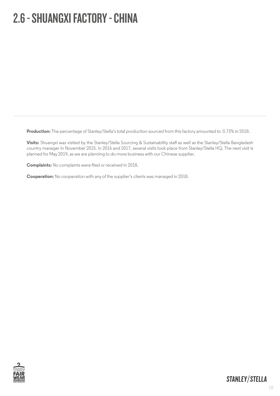#### 2.6 - SHUANGXI FACTORY - CHINA

**Production:** The percentage of Stanley/Stella's total production sourced from this factory amounted to 0.73% in 2018.

**Visits:** Shuangxi was visited by the Stanley/Stella Sourcing & Sustainability staff as well as the Stanley/Stella Bangladesh country manager in November 2015. In 2016 and 2017, several visits took place from Stanley/Stella HQ. The next visit is planned for May 2019, as we are planning to do more business with our Chinese supplier.

**Complaints:** No complaints were filed or received in 2018.

**Cooperation:** No cooperation with any of the supplier's clients was managed in 2018.

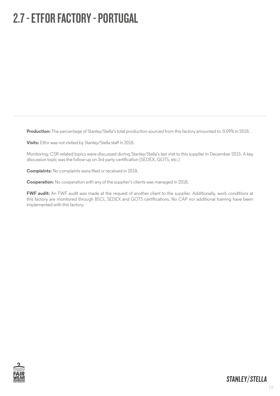#### 2.7 - ETFOR FACTORY - PORTUGAL

**Production:** The percentage of Stanley/Stella's total production sourced from this factory amounted to 0.09% in 2018.

**Visits:** Etfor was not visited by Stanley/Stella staff in 2018.

Monitoring: CSR-related topics were discussed during Stanley/Stella's last visit to this supplier in December 2015. A key discussion topic was the follow-up on 3rd party certification (SEDEX, GOTS, etc.)

**Complaints:** No complaints were filed or received in 2018.

**Cooperation:** No cooperation with any of the supplier's clients was managed in 2018.

FWF audit: An FWF audit was made at the request of another client to the supplier. Additionally, work conditions at this factory are monitored through BSCI, SEDEX and GOTS certifications. No CAP nor additional training have been implemented with this factory.

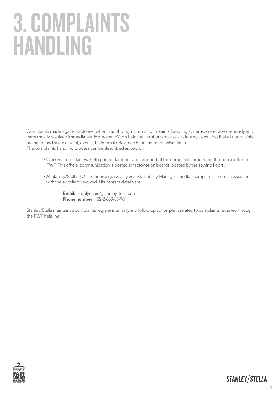# 3. COMPLAINTS HANDLING

Complaints made against factories, when filed through internal complaints handling systems, were taken seriously and were mostly resolved immediately. Moreover, FWF's helpline number works as a safety net, ensuring that all complaints are heard and taken care of, even if the internal grievance handling mechanism falters. The complaints handling process can be described as below:

- Workers from Stanley/Stella partner factories are informed of the complaints procedure through a letter from FWF. This official communication is posted in factories on boards located by the sewing floors.
- At Stanley/Stella HQ, the Sourcing, Quality & Sustainability Manager handles complaints and discusses them with the suppliers involved. His contact details are:
	- **Email:** supplychain@stanleystella.com
	- **Phone number:** +32-2-663-05-90

Stanley/Stella maintains a complaints register internally and follow-up action plans related to complaints received through the FWF helpline.

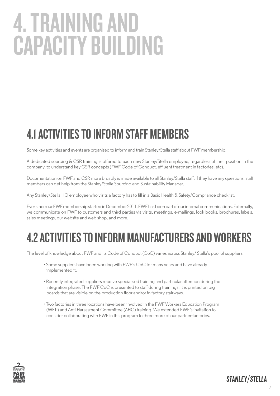# 4. TRAINING AND CAPACITY BUILDING

#### 4.1 ACTIVITIES TO INFORM STAFF MEMBERS

Some key activities and events are organised to inform and train Stanley/Stella staff about FWF membership:

A dedicated sourcing & CSR training is offered to each new Stanley/Stella employee, regardless of their position in the company, to understand key CSR concepts (FWF Code of Conduct, effluent treatment in factories, etc).

Documentation on FWF and CSR more broadly is made available to all Stanley/Stella staff. If they have any questions, staff members can get help from the Stanley/Stella Sourcing and Sustainability Manager.

Any Stanley/Stella HQ employee who visits a factory has to fill in a Basic Health & Safety/Compliance checklist.

Ever since our FWF membership started in December 2011, FWF has been part of our internal communications. Externally, we communicate on FWF to customers and third parties via visits, meetings, e-mailings, look books, brochures, labels, sales meetings, our website and web shop, and more.

#### 4.2 ACTIVITIES TO INFORM MANUFACTURERS AND WORKERS

The level of knowledge about FWF and its Code of Conduct (CoC) varies across Stanley/ Stella's pool of suppliers:

- Some suppliers have been working with FWF's CoC for many years and have already implemented it.
- Recently integrated suppliers receive specialised training and particular attention during the integration phase. The FWF CoC is presented to staff during trainings. It is printed on big boards that are visible on the production floor and/or in factory stairways.
- Two factories in three locations have been involved in the FWF Workers Education Program (WEP) and Anti-Harassment Committee (AHC) training. We extended FWF's invitation to consider collaborating with FWF in this program to three more of our partner-factories.

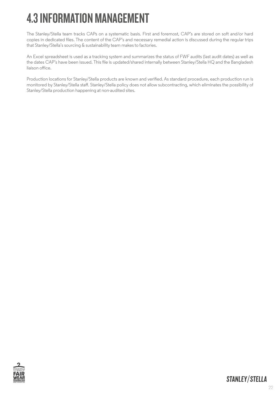#### 4.3 INFORMATION MANAGEMENT

The Stanley/Stella team tracks CAPs on a systematic basis. First and foremost, CAP's are stored on soft and/or hard copies in dedicated files. The content of the CAP's and necessary remedial action is discussed during the regular trips that Stanley/Stella's sourcing & sustainability team makes to factories.

An Excel spreadsheet is used as a tracking system and summarizes the status of FWF audits (last audit dates) as well as the dates CAP's have been issued. This file is updated/shared internally between Stanley/Stella HQ and the Bangladesh liaison office.

Production locations for Stanley/Stella products are known and verified. As standard procedure, each production run is monitored by Stanley/Stella staff. Stanley/Stella policy does not allow subcontracting, which eliminates the possibility of Stanley/Stella production happening at non-audited sites.

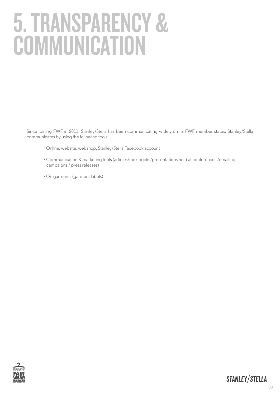# 5. TRANSPARENCY & **COMMUNICATION**

Since joining FWF in 2011, Stanley/Stella has been communicating widely on its FWF member status. Stanley/Stella communicates by using the following tools:

- Online: website, webshop, Stanley/Stella Facebook account
- Communication & marketing tools (articles/look books/presentations held at conferences /emailing campaigns / press releases)
- On garments (garment labels)